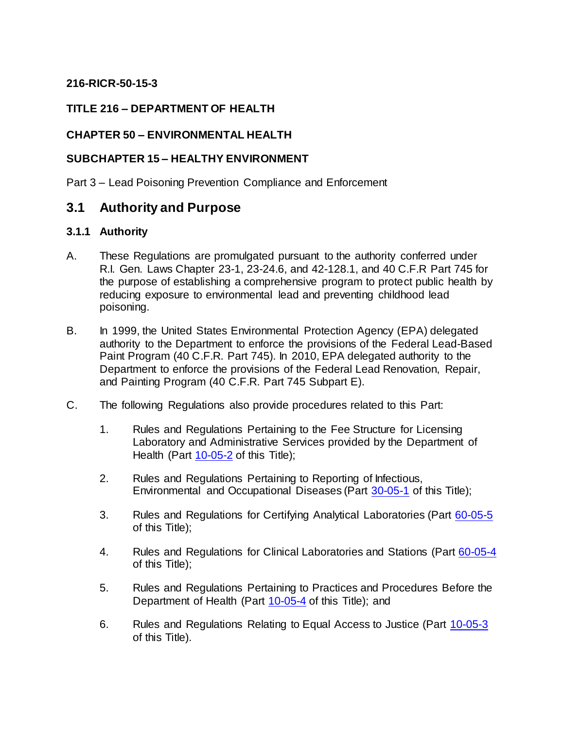### **216-RICR-50-15-3**

### **TITLE 216 – DEPARTMENT OF HEALTH**

### **CHAPTER 50 – ENVIRONMENTAL HEALTH**

#### **SUBCHAPTER 15 – HEALTHY ENVIRONMENT**

Part 3 – Lead Poisoning Prevention Compliance and Enforcement

## **3.1 Authority and Purpose**

#### **3.1.1 Authority**

- A. These Regulations are promulgated pursuant to the authority conferred under R.I. Gen. Laws Chapter 23-1, 23-24.6, and 42-128.1, and 40 C.F.R Part 745 for the purpose of establishing a comprehensive program to protect public health by reducing exposure to environmental lead and preventing childhood lead poisoning.
- B. In 1999, the United States Environmental Protection Agency (EPA) delegated authority to the Department to enforce the provisions of the Federal Lead-Based Paint Program (40 C.F.R. Part 745). In 2010, EPA delegated authority to the Department to enforce the provisions of the Federal Lead Renovation, Repair, and Painting Program (40 C.F.R. Part 745 Subpart E).
- C. The following Regulations also provide procedures related to this Part:
	- 1. Rules and Regulations Pertaining to the Fee Structure for Licensing Laboratory and Administrative Services provided by the Department of Health (Part [10-05-2](https://rules.sos.ri.gov/regulations/part/216-10-05-2) of this Title);
	- 2. Rules and Regulations Pertaining to Reporting of Infectious, Environmental and Occupational Diseases (Part [30-05-1](https://rules.sos.ri.gov/regulations/part/216-30-05-1) of this Title);
	- 3. Rules and Regulations for Certifying Analytical Laboratories (Part [60-05-5](https://rules.sos.ri.gov/regulations/part/216-60-05-5) of this Title);
	- 4. Rules and Regulations for Clinical Laboratories and Stations (Part [60-05-4](https://rules.sos.ri.gov/regulations/part/216-60-05-4) of this Title);
	- 5. Rules and Regulations Pertaining to Practices and Procedures Before the Department of Health (Part [10-05-4](https://rules.sos.ri.gov/regulations/part/216-10-05-4) of this Title); and
	- 6. Rules and Regulations Relating to Equal Access to Justice (Part [10-05-3](https://rules.sos.ri.gov/regulations/part/216-10-05-3) of this Title).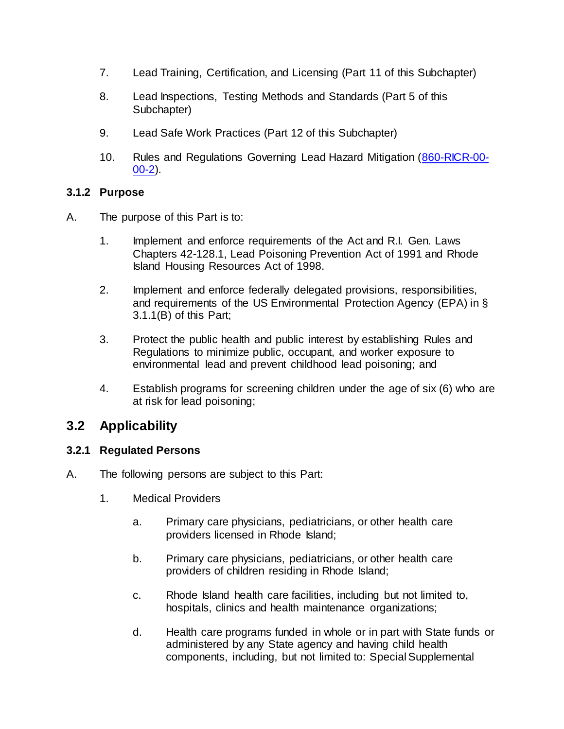- 7. Lead Training, Certification, and Licensing (Part 11 of this Subchapter)
- 8. Lead Inspections, Testing Methods and Standards (Part 5 of this Subchapter)
- 9. Lead Safe Work Practices (Part 12 of this Subchapter)
- 10. Rules and Regulations Governing Lead Hazard Mitigation [\(860-RICR-00-](https://rules.sos.ri.gov/regulations/part/860-00-00-2) [00-2\)](https://rules.sos.ri.gov/regulations/part/860-00-00-2).

### **3.1.2 Purpose**

- A. The purpose of this Part is to:
	- 1. Implement and enforce requirements of the Act and R.I. Gen. Laws Chapters 42-128.1, Lead Poisoning Prevention Act of 1991 and Rhode Island Housing Resources Act of 1998.
	- 2. Implement and enforce federally delegated provisions, responsibilities, and requirements of the US Environmental Protection Agency (EPA) in § 3.1.1(B) of this Part;
	- 3. Protect the public health and public interest by establishing Rules and Regulations to minimize public, occupant, and worker exposure to environmental lead and prevent childhood lead poisoning; and
	- 4. Establish programs for screening children under the age of six (6) who are at risk for lead poisoning;

# **3.2 Applicability**

### **3.2.1 Regulated Persons**

- A. The following persons are subject to this Part:
	- 1. Medical Providers
		- a. Primary care physicians, pediatricians, or other health care providers licensed in Rhode Island;
		- b. Primary care physicians, pediatricians, or other health care providers of children residing in Rhode Island;
		- c. Rhode Island health care facilities, including but not limited to, hospitals, clinics and health maintenance organizations;
		- d. Health care programs funded in whole or in part with State funds or administered by any State agency and having child health components, including, but not limited to: Special Supplemental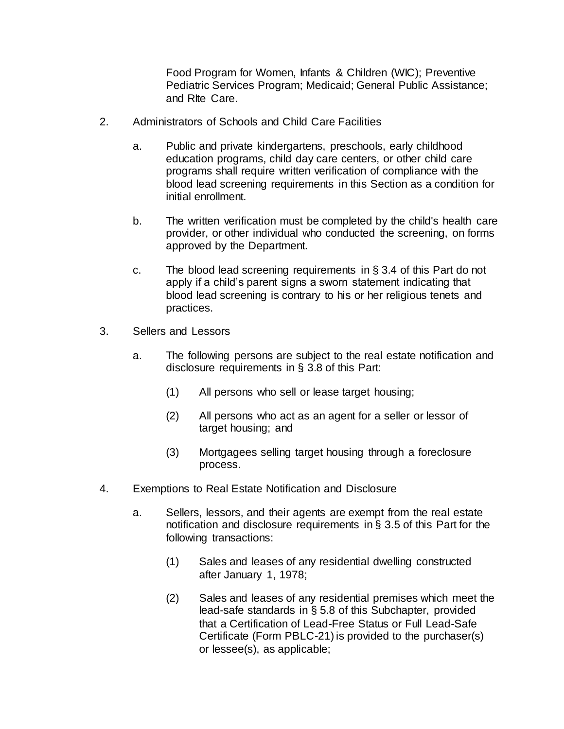Food Program for Women, Infants & Children (WIC); Preventive Pediatric Services Program; Medicaid; General Public Assistance; and RIte Care.

- 2. Administrators of Schools and Child Care Facilities
	- a. Public and private kindergartens, preschools, early childhood education programs, child day care centers, or other child care programs shall require written verification of compliance with the blood lead screening requirements in this Section as a condition for initial enrollment.
	- b. The written verification must be completed by the child's health care provider, or other individual who conducted the screening, on forms approved by the Department.
	- c. The blood lead screening requirements in  $\S$  3.4 of this Part do not apply if a child's parent signs a sworn statement indicating that blood lead screening is contrary to his or her religious tenets and practices.
- 3. Sellers and Lessors
	- a. The following persons are subject to the real estate notification and disclosure requirements in § 3.8 of this Part:
		- (1) All persons who sell or lease target housing;
		- (2) All persons who act as an agent for a seller or lessor of target housing; and
		- (3) Mortgagees selling target housing through a foreclosure process.
- 4. Exemptions to Real Estate Notification and Disclosure
	- a. Sellers, lessors, and their agents are exempt from the real estate notification and disclosure requirements in § 3.5 of this Part for the following transactions:
		- (1) Sales and leases of any residential dwelling constructed after January 1, 1978;
		- (2) Sales and leases of any residential premises which meet the lead-safe standards in § 5.8 of this Subchapter, provided that a Certification of Lead-Free Status or Full Lead-Safe Certificate (Form PBLC-21) is provided to the purchaser(s) or lessee(s), as applicable;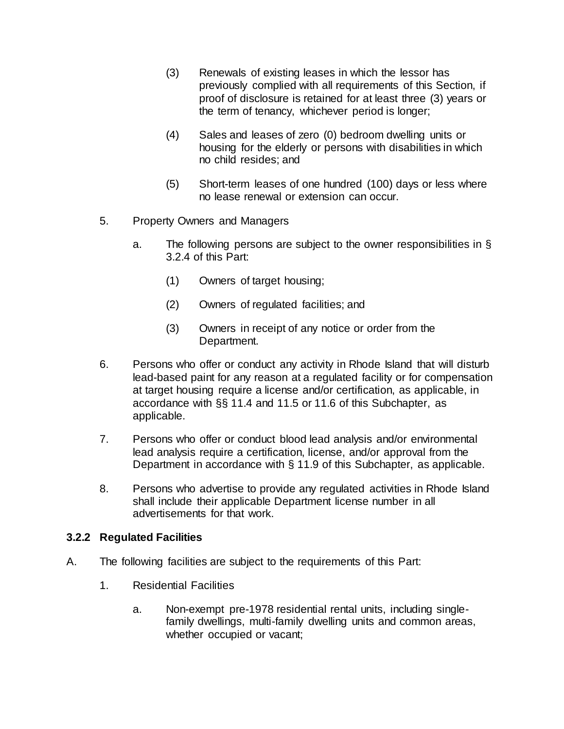- (3) Renewals of existing leases in which the lessor has previously complied with all requirements of this Section, if proof of disclosure is retained for at least three (3) years or the term of tenancy, whichever period is longer;
- (4) Sales and leases of zero (0) bedroom dwelling units or housing for the elderly or persons with disabilities in which no child resides; and
- (5) Short-term leases of one hundred (100) days or less where no lease renewal or extension can occur.
- 5. Property Owners and Managers
	- a. The following persons are subject to the owner responsibilities in § 3.2.4 of this Part:
		- (1) Owners of target housing;
		- (2) Owners of regulated facilities; and
		- (3) Owners in receipt of any notice or order from the Department.
- 6. Persons who offer or conduct any activity in Rhode Island that will disturb lead-based paint for any reason at a regulated facility or for compensation at target housing require a license and/or certification, as applicable, in accordance with §§ 11.4 and 11.5 or 11.6 of this Subchapter, as applicable.
- 7. Persons who offer or conduct blood lead analysis and/or environmental lead analysis require a certification, license, and/or approval from the Department in accordance with § 11.9 of this Subchapter, as applicable.
- 8. Persons who advertise to provide any regulated activities in Rhode Island shall include their applicable Department license number in all advertisements for that work.

### **3.2.2 Regulated Facilities**

- A. The following facilities are subject to the requirements of this Part:
	- 1. Residential Facilities
		- a. Non-exempt pre-1978 residential rental units, including singlefamily dwellings, multi-family dwelling units and common areas, whether occupied or vacant;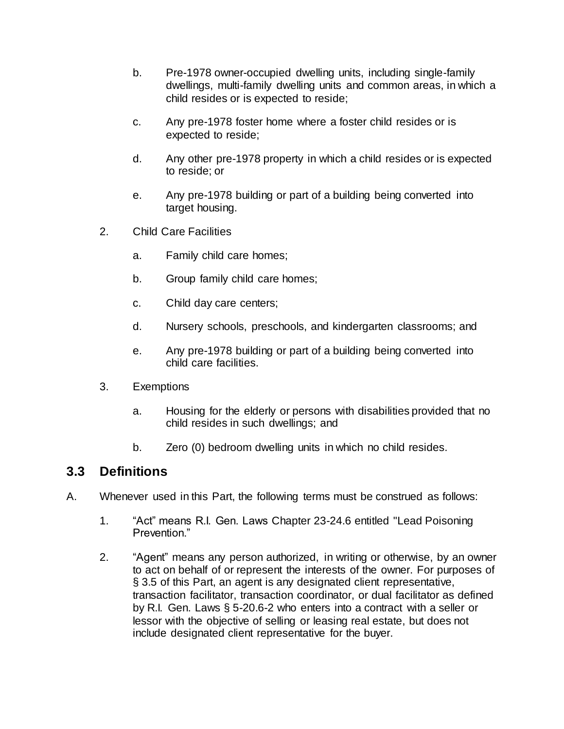- b. Pre-1978 owner-occupied dwelling units, including single-family dwellings, multi-family dwelling units and common areas, in which a child resides or is expected to reside;
- c. Any pre-1978 foster home where a foster child resides or is expected to reside;
- d. Any other pre-1978 property in which a child resides or is expected to reside; or
- e. Any pre-1978 building or part of a building being converted into target housing.
- 2. Child Care Facilities
	- a. Family child care homes;
	- b. Group family child care homes;
	- c. Child day care centers;
	- d. Nursery schools, preschools, and kindergarten classrooms; and
	- e. Any pre-1978 building or part of a building being converted into child care facilities.
- 3. Exemptions
	- a. Housing for the elderly or persons with disabilities provided that no child resides in such dwellings; and
	- b. Zero (0) bedroom dwelling units in which no child resides.

# **3.3 Definitions**

- A. Whenever used in this Part, the following terms must be construed as follows:
	- 1. "Act" means R.I. Gen. Laws Chapter 23-24.6 entitled "Lead Poisoning Prevention."
	- 2. "Agent" means any person authorized, in writing or otherwise, by an owner to act on behalf of or represent the interests of the owner. For purposes of § 3.5 of this Part, an agent is any designated client representative, transaction facilitator, transaction coordinator, or dual facilitator as defined by R.I. Gen. Laws § 5-20.6-2 who enters into a contract with a seller or lessor with the objective of selling or leasing real estate, but does not include designated client representative for the buyer.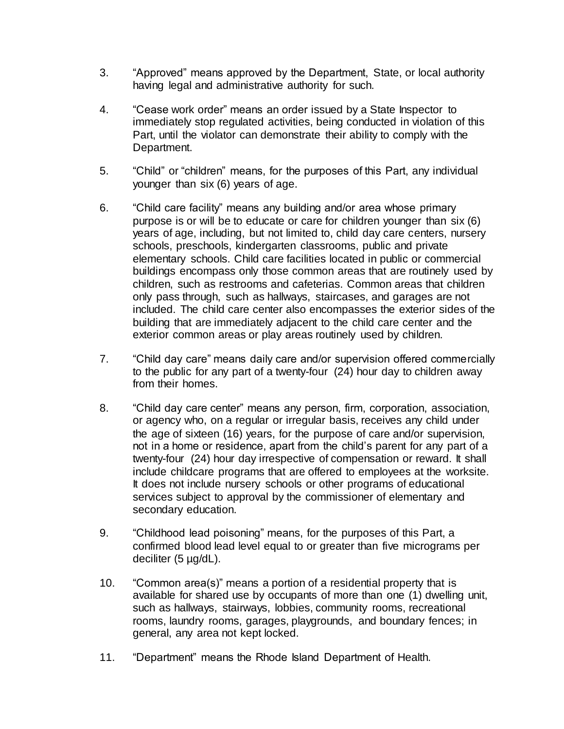- 3. "Approved" means approved by the Department, State, or local authority having legal and administrative authority for such.
- 4. "Cease work order" means an order issued by a State Inspector to immediately stop regulated activities, being conducted in violation of this Part, until the violator can demonstrate their ability to comply with the Department.
- 5. "Child" or "children" means, for the purposes of this Part, any individual younger than six (6) years of age.
- 6. "Child care facility" means any building and/or area whose primary purpose is or will be to educate or care for children younger than six (6) years of age, including, but not limited to, child day care centers, nursery schools, preschools, kindergarten classrooms, public and private elementary schools. Child care facilities located in public or commercial buildings encompass only those common areas that are routinely used by children, such as restrooms and cafeterias. Common areas that children only pass through, such as hallways, staircases, and garages are not included. The child care center also encompasses the exterior sides of the building that are immediately adjacent to the child care center and the exterior common areas or play areas routinely used by children.
- 7. "Child day care" means daily care and/or supervision offered commercially to the public for any part of a twenty-four (24) hour day to children away from their homes.
- 8. "Child day care center" means any person, firm, corporation, association, or agency who, on a regular or irregular basis, receives any child under the age of sixteen (16) years, for the purpose of care and/or supervision, not in a home or residence, apart from the child's parent for any part of a twenty-four (24) hour day irrespective of compensation or reward. It shall include childcare programs that are offered to employees at the worksite. It does not include nursery schools or other programs of educational services subject to approval by the commissioner of elementary and secondary education.
- 9. "Childhood lead poisoning" means, for the purposes of this Part, a confirmed blood lead level equal to or greater than five micrograms per deciliter (5 µg/dL).
- 10. "Common area(s)" means a portion of a residential property that is available for shared use by occupants of more than one (1) dwelling unit, such as hallways, stairways, lobbies, community rooms, recreational rooms, laundry rooms, garages, playgrounds, and boundary fences; in general, any area not kept locked.
- 11. "Department" means the Rhode Island Department of Health.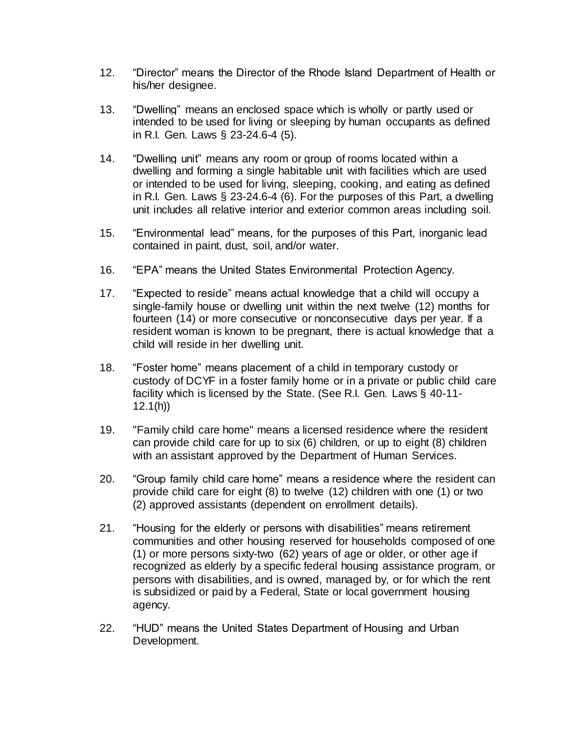- 12. "Director" means the Director of the Rhode Island Department of Health or his/her designee.
- 13. "Dwelling" means an enclosed space which is wholly or partly used or intended to be used for living or sleeping by human occupants as defined in R.I. Gen. Laws § 23-24.6-4 (5).
- 14. "Dwelling unit" means any room or group of rooms located within a dwelling and forming a single habitable unit with facilities which are used or intended to be used for living, sleeping, cooking, and eating as defined in R.I. Gen. Laws § 23-24.6-4 (6). For the purposes of this Part, a dwelling unit includes all relative interior and exterior common areas including soil.
- 15. "Environmental lead" means, for the purposes of this Part, inorganic lead contained in paint, dust, soil, and/or water.
- 16. "EPA" means the United States Environmental Protection Agency.
- 17. "Expected to reside" means actual knowledge that a child will occupy a single-family house or dwelling unit within the next twelve (12) months for fourteen (14) or more consecutive or nonconsecutive days per year. If a resident woman is known to be pregnant, there is actual knowledge that a child will reside in her dwelling unit.
- 18. "Foster home" means placement of a child in temporary custody or custody of DCYF in a foster family home or in a private or public child care facility which is licensed by the State. (See R.I. Gen. Laws § 40-11- 12.1(h))
- 19. "Family child care home" means a licensed residence where the resident can provide child care for up to six (6) children, or up to eight (8) children with an assistant approved by the Department of Human Services.
- 20. "Group family child care home" means a residence where the resident can provide child care for eight (8) to twelve (12) children with one (1) or two (2) approved assistants (dependent on enrollment details).
- 21. "Housing for the elderly or persons with disabilities" means retirement communities and other housing reserved for households composed of one (1) or more persons sixty-two (62) years of age or older, or other age if recognized as elderly by a specific federal housing assistance program, or persons with disabilities, and is owned, managed by, or for which the rent is subsidized or paid by a Federal, State or local government housing agency.
- 22. "HUD" means the United States Department of Housing and Urban Development.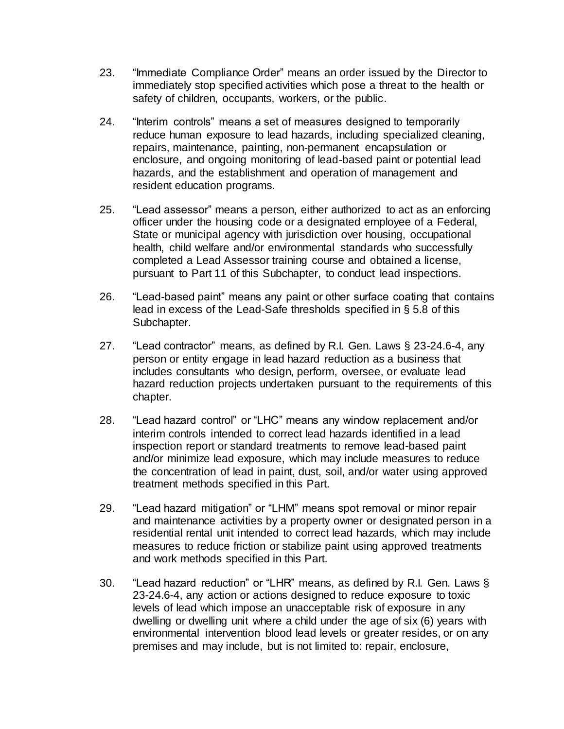- 23. "Immediate Compliance Order" means an order issued by the Director to immediately stop specified activities which pose a threat to the health or safety of children, occupants, workers, or the public.
- 24. "Interim controls" means a set of measures designed to temporarily reduce human exposure to lead hazards, including specialized cleaning, repairs, maintenance, painting, non-permanent encapsulation or enclosure, and ongoing monitoring of lead-based paint or potential lead hazards, and the establishment and operation of management and resident education programs.
- 25. "Lead assessor" means a person, either authorized to act as an enforcing officer under the housing code or a designated employee of a Federal, State or municipal agency with jurisdiction over housing, occupational health, child welfare and/or environmental standards who successfully completed a Lead Assessor training course and obtained a license, pursuant to Part 11 of this Subchapter, to conduct lead inspections.
- 26. "Lead-based paint" means any paint or other surface coating that contains lead in excess of the Lead-Safe thresholds specified in § 5.8 of this Subchapter.
- 27. "Lead contractor" means, as defined by R.I. Gen. Laws § 23-24.6-4, any person or entity engage in lead hazard reduction as a business that includes consultants who design, perform, oversee, or evaluate lead hazard reduction projects undertaken pursuant to the requirements of this chapter.
- 28. "Lead hazard control" or "LHC" means any window replacement and/or interim controls intended to correct lead hazards identified in a lead inspection report or standard treatments to remove lead-based paint and/or minimize lead exposure, which may include measures to reduce the concentration of lead in paint, dust, soil, and/or water using approved treatment methods specified in this Part.
- 29. "Lead hazard mitigation" or "LHM" means spot removal or minor repair and maintenance activities by a property owner or designated person in a residential rental unit intended to correct lead hazards, which may include measures to reduce friction or stabilize paint using approved treatments and work methods specified in this Part.
- 30. "Lead hazard reduction" or "LHR" means, as defined by R.I. Gen. Laws § 23-24.6-4, any action or actions designed to reduce exposure to toxic levels of lead which impose an unacceptable risk of exposure in any dwelling or dwelling unit where a child under the age of six (6) years with environmental intervention blood lead levels or greater resides, or on any premises and may include, but is not limited to: repair, enclosure,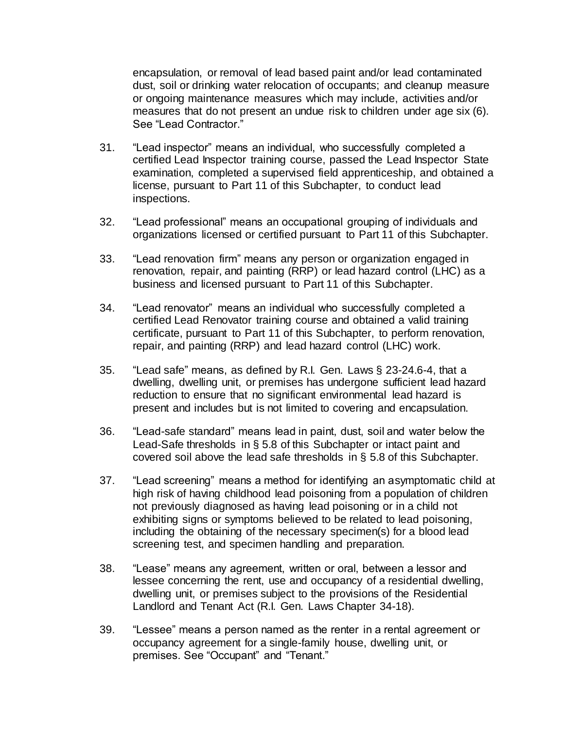encapsulation, or removal of lead based paint and/or lead contaminated dust, soil or drinking water relocation of occupants; and cleanup measure or ongoing maintenance measures which may include, activities and/or measures that do not present an undue risk to children under age six (6). See "Lead Contractor."

- 31. "Lead inspector" means an individual, who successfully completed a certified Lead Inspector training course, passed the Lead Inspector State examination, completed a supervised field apprenticeship, and obtained a license, pursuant to Part 11 of this Subchapter, to conduct lead inspections.
- 32. "Lead professional" means an occupational grouping of individuals and organizations licensed or certified pursuant to Part 11 of this Subchapter.
- 33. "Lead renovation firm" means any person or organization engaged in renovation, repair, and painting (RRP) or lead hazard control (LHC) as a business and licensed pursuant to Part 11 of this Subchapter.
- 34. "Lead renovator" means an individual who successfully completed a certified Lead Renovator training course and obtained a valid training certificate, pursuant to Part 11 of this Subchapter, to perform renovation, repair, and painting (RRP) and lead hazard control (LHC) work.
- 35. "Lead safe" means, as defined by R.I. Gen. Laws § 23-24.6-4, that a dwelling, dwelling unit, or premises has undergone sufficient lead hazard reduction to ensure that no significant environmental lead hazard is present and includes but is not limited to covering and encapsulation.
- 36. "Lead-safe standard" means lead in paint, dust, soil and water below the Lead-Safe thresholds in § 5.8 of this Subchapter or intact paint and covered soil above the lead safe thresholds in § 5.8 of this Subchapter.
- 37. "Lead screening" means a method for identifying an asymptomatic child at high risk of having childhood lead poisoning from a population of children not previously diagnosed as having lead poisoning or in a child not exhibiting signs or symptoms believed to be related to lead poisoning, including the obtaining of the necessary specimen(s) for a blood lead screening test, and specimen handling and preparation.
- 38. "Lease" means any agreement, written or oral, between a lessor and lessee concerning the rent, use and occupancy of a residential dwelling, dwelling unit, or premises subject to the provisions of the Residential Landlord and Tenant Act (R.I. Gen. Laws Chapter 34-18).
- 39. "Lessee" means a person named as the renter in a rental agreement or occupancy agreement for a single-family house, dwelling unit, or premises. See "Occupant" and "Tenant."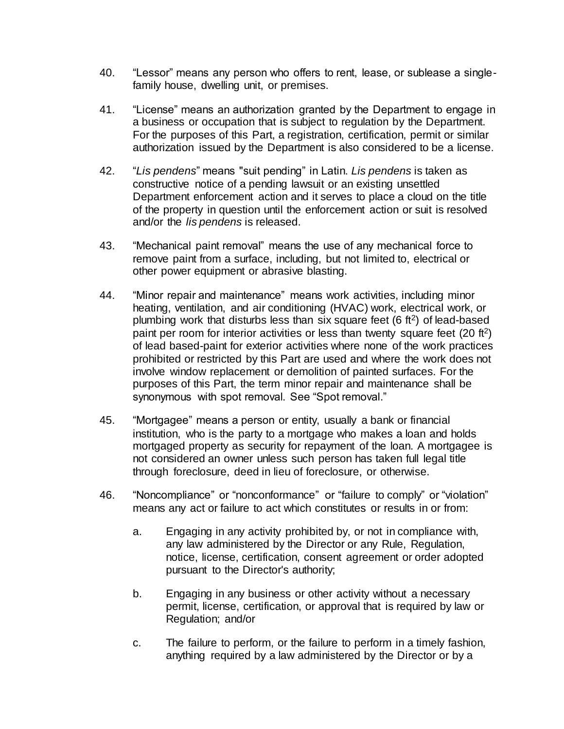- 40. "Lessor" means any person who offers to rent, lease, or sublease a singlefamily house, dwelling unit, or premises.
- 41. "License" means an authorization granted by the Department to engage in a business or occupation that is subject to regulation by the Department. For the purposes of this Part, a registration, certification, permit or similar authorization issued by the Department is also considered to be a license.
- 42. "*Lis pendens*" means "suit pending" in Latin. *Lis pendens* is taken as constructive notice of a pending lawsuit or an existing unsettled Department enforcement action and it serves to place a cloud on the title of the property in question until the enforcement action or suit is resolved and/or the *lis pendens* is released.
- 43. "Mechanical paint removal" means the use of any mechanical force to remove paint from a surface, including, but not limited to, electrical or other power equipment or abrasive blasting.
- 44. "Minor repair and maintenance" means work activities, including minor heating, ventilation, and air conditioning (HVAC) work, electrical work, or plumbing work that disturbs less than six square feet  $(6 \text{ ft}^2)$  of lead-based paint per room for interior activities or less than twenty square feet  $(20 \text{ ft}^2)$ of lead based-paint for exterior activities where none of the work practices prohibited or restricted by this Part are used and where the work does not involve window replacement or demolition of painted surfaces. For the purposes of this Part, the term minor repair and maintenance shall be synonymous with spot removal. See "Spot removal."
- 45. "Mortgagee" means a person or entity, usually a bank or financial institution, who is the party to a mortgage who makes a loan and holds mortgaged property as security for repayment of the loan. A mortgagee is not considered an owner unless such person has taken full legal title through foreclosure, deed in lieu of foreclosure, or otherwise.
- 46. "Noncompliance" or "nonconformance" or "failure to comply" or "violation" means any act or failure to act which constitutes or results in or from:
	- a. Engaging in any activity prohibited by, or not in compliance with, any law administered by the Director or any Rule, Regulation, notice, license, certification, consent agreement or order adopted pursuant to the Director's authority;
	- b. Engaging in any business or other activity without a necessary permit, license, certification, or approval that is required by law or Regulation; and/or
	- c. The failure to perform, or the failure to perform in a timely fashion, anything required by a law administered by the Director or by a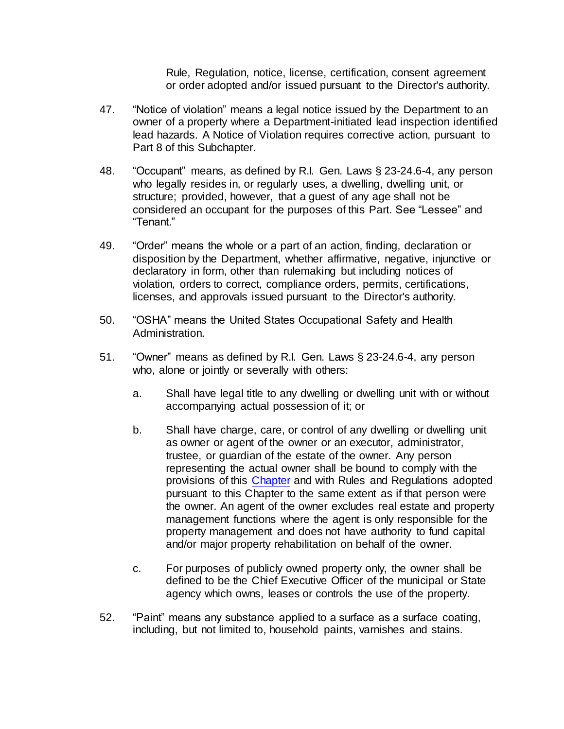Rule, Regulation, notice, license, certification, consent agreement or order adopted and/or issued pursuant to the Director's authority.

- 47. "Notice of violation" means a legal notice issued by the Department to an owner of a property where a Department-initiated lead inspection identified lead hazards. A Notice of Violation requires corrective action, pursuant to Part 8 of this Subchapter.
- 48. "Occupant" means, as defined by R.I. Gen. Laws § 23-24.6-4, any person who legally resides in, or regularly uses, a dwelling, dwelling unit, or structure; provided, however, that a guest of any age shall not be considered an occupant for the purposes of this Part. See "Lessee" and "Tenant."
- 49. "Order" means the whole or a part of an action, finding, declaration or disposition by the Department, whether affirmative, negative, injunctive or declaratory in form, other than rulemaking but including notices of violation, orders to correct, compliance orders, permits, certifications, licenses, and approvals issued pursuant to the Director's authority.
- 50. "OSHA" means the United States Occupational Safety and Health Administration.
- 51. "Owner" means as defined by R.I. Gen. Laws § 23-24.6-4, any person who, alone or jointly or severally with others:
	- a. Shall have legal title to any dwelling or dwelling unit with or without accompanying actual possession of it; or
	- b. Shall have charge, care, or control of any dwelling or dwelling unit as owner or agent of the owner or an executor, administrator, trustee, or guardian of the estate of the owner. Any person representing the actual owner shall be bound to comply with the provisions of this [Chapter](https://rules.sos.ri.gov/organizations/chapter/216-50) and with Rules and Regulations adopted pursuant to this Chapter to the same extent as if that person were the owner. An agent of the owner excludes real estate and property management functions where the agent is only responsible for the property management and does not have authority to fund capital and/or major property rehabilitation on behalf of the owner.
	- c. For purposes of publicly owned property only, the owner shall be defined to be the Chief Executive Officer of the municipal or State agency which owns, leases or controls the use of the property.
- 52. "Paint" means any substance applied to a surface as a surface coating, including, but not limited to, household paints, varnishes and stains.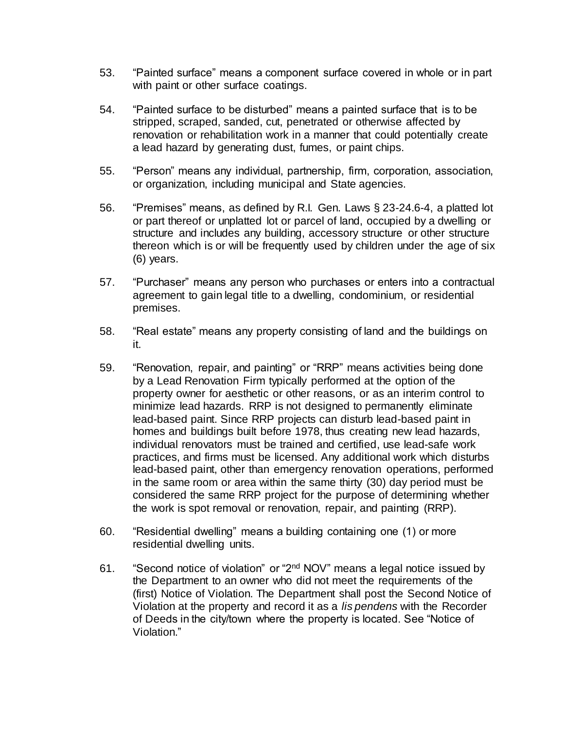- 53. "Painted surface" means a component surface covered in whole or in part with paint or other surface coatings.
- 54. "Painted surface to be disturbed" means a painted surface that is to be stripped, scraped, sanded, cut, penetrated or otherwise affected by renovation or rehabilitation work in a manner that could potentially create a lead hazard by generating dust, fumes, or paint chips.
- 55. "Person" means any individual, partnership, firm, corporation, association, or organization, including municipal and State agencies.
- 56. "Premises" means, as defined by R.I. Gen. Laws § 23-24.6-4, a platted lot or part thereof or unplatted lot or parcel of land, occupied by a dwelling or structure and includes any building, accessory structure or other structure thereon which is or will be frequently used by children under the age of six (6) years.
- 57. "Purchaser" means any person who purchases or enters into a contractual agreement to gain legal title to a dwelling, condominium, or residential premises.
- 58. "Real estate" means any property consisting of land and the buildings on it.
- 59. "Renovation, repair, and painting" or "RRP" means activities being done by a Lead Renovation Firm typically performed at the option of the property owner for aesthetic or other reasons, or as an interim control to minimize lead hazards. RRP is not designed to permanently eliminate lead-based paint. Since RRP projects can disturb lead-based paint in homes and buildings built before 1978, thus creating new lead hazards, individual renovators must be trained and certified, use lead-safe work practices, and firms must be licensed. Any additional work which disturbs lead-based paint, other than emergency renovation operations, performed in the same room or area within the same thirty (30) day period must be considered the same RRP project for the purpose of determining whether the work is spot removal or renovation, repair, and painting (RRP).
- 60. "Residential dwelling" means a building containing one (1) or more residential dwelling units.
- 61. "Second notice of violation" or "2<sup>nd</sup> NOV" means a legal notice issued by the Department to an owner who did not meet the requirements of the (first) Notice of Violation. The Department shall post the Second Notice of Violation at the property and record it as a *lis pendens* with the Recorder of Deeds in the city/town where the property is located. See "Notice of Violation."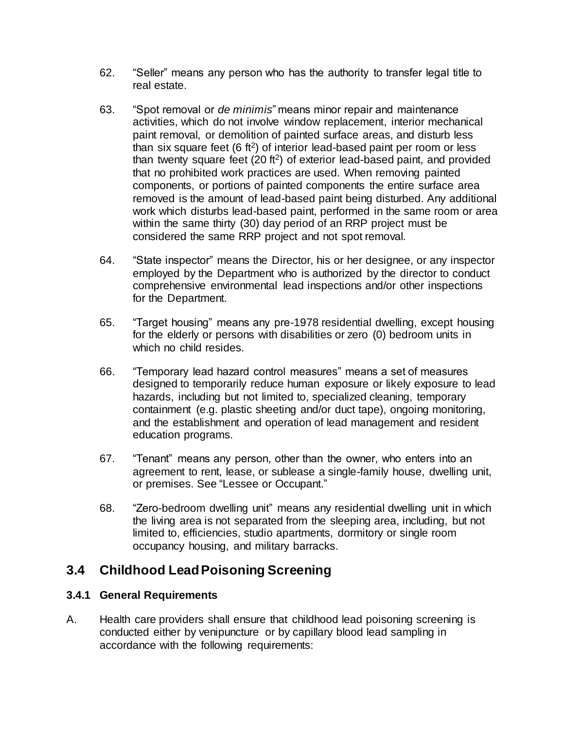- 62. "Seller" means any person who has the authority to transfer legal title to real estate.
- 63. "Spot removal or *de minimis*" means minor repair and maintenance activities, which do not involve window replacement, interior mechanical paint removal, or demolition of painted surface areas, and disturb less than six square feet  $(6 \text{ ft}^2)$  of interior lead-based paint per room or less than twenty square feet  $(20 ft<sup>2</sup>)$  of exterior lead-based paint, and provided that no prohibited work practices are used. When removing painted components, or portions of painted components the entire surface area removed is the amount of lead-based paint being disturbed. Any additional work which disturbs lead-based paint, performed in the same room or area within the same thirty (30) day period of an RRP project must be considered the same RRP project and not spot removal.
- 64. "State inspector" means the Director, his or her designee, or any inspector employed by the Department who is authorized by the director to conduct comprehensive environmental lead inspections and/or other inspections for the Department.
- 65. "Target housing" means any pre-1978 residential dwelling, except housing for the elderly or persons with disabilities or zero (0) bedroom units in which no child resides.
- 66. "Temporary lead hazard control measures" means a set of measures designed to temporarily reduce human exposure or likely exposure to lead hazards, including but not limited to, specialized cleaning, temporary containment (e.g. plastic sheeting and/or duct tape), ongoing monitoring, and the establishment and operation of lead management and resident education programs.
- 67. "Tenant" means any person, other than the owner, who enters into an agreement to rent, lease, or sublease a single-family house, dwelling unit, or premises. See "Lessee or Occupant."
- 68. "Zero-bedroom dwelling unit" means any residential dwelling unit in which the living area is not separated from the sleeping area, including, but not limited to, efficiencies, studio apartments, dormitory or single room occupancy housing, and military barracks.

# **3.4 Childhood Lead Poisoning Screening**

#### **3.4.1 General Requirements**

A. Health care providers shall ensure that childhood lead poisoning screening is conducted either by venipuncture or by capillary blood lead sampling in accordance with the following requirements: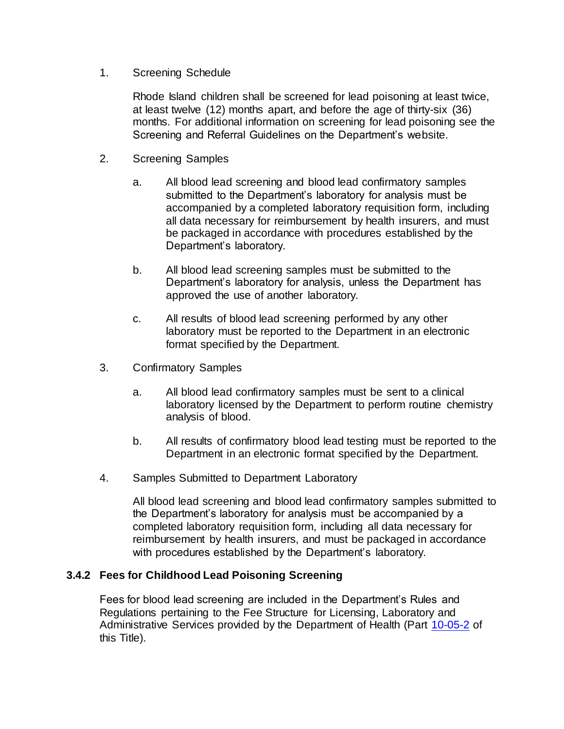#### 1. Screening Schedule

Rhode Island children shall be screened for lead poisoning at least twice, at least twelve (12) months apart, and before the age of thirty-six (36) months. For additional information on screening for lead poisoning see the Screening and Referral Guidelines on the Department's website.

- 2. Screening Samples
	- a. All blood lead screening and blood lead confirmatory samples submitted to the Department's laboratory for analysis must be accompanied by a completed laboratory requisition form, including all data necessary for reimbursement by health insurers, and must be packaged in accordance with procedures established by the Department's laboratory.
	- b. All blood lead screening samples must be submitted to the Department's laboratory for analysis, unless the Department has approved the use of another laboratory.
	- c. All results of blood lead screening performed by any other laboratory must be reported to the Department in an electronic format specified by the Department.
- 3. Confirmatory Samples
	- a. All blood lead confirmatory samples must be sent to a clinical laboratory licensed by the Department to perform routine chemistry analysis of blood.
	- b. All results of confirmatory blood lead testing must be reported to the Department in an electronic format specified by the Department.
- 4. Samples Submitted to Department Laboratory

All blood lead screening and blood lead confirmatory samples submitted to the Department's laboratory for analysis must be accompanied by a completed laboratory requisition form, including all data necessary for reimbursement by health insurers, and must be packaged in accordance with procedures established by the Department's laboratory.

#### **3.4.2 Fees for Childhood Lead Poisoning Screening**

Fees for blood lead screening are included in the Department's Rules and Regulations pertaining to the Fee Structure for Licensing, Laboratory and Administrative Services provided by the Department of Health (Part [10-05-2](https://rules.sos.ri.gov/regulations/part/216-10-05-2) of this Title).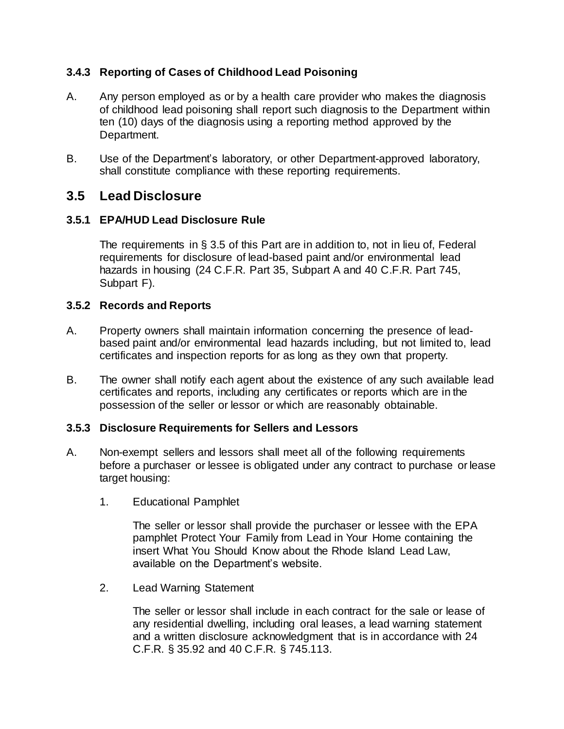### **3.4.3 Reporting of Cases of Childhood Lead Poisoning**

- A. Any person employed as or by a health care provider who makes the diagnosis of childhood lead poisoning shall report such diagnosis to the Department within ten (10) days of the diagnosis using a reporting method approved by the Department.
- B. Use of the Department's laboratory, or other Department-approved laboratory, shall constitute compliance with these reporting requirements.

# **3.5 Lead Disclosure**

#### **3.5.1 EPA/HUD Lead Disclosure Rule**

The requirements in § 3.5 of this Part are in addition to, not in lieu of, Federal requirements for disclosure of lead-based paint and/or environmental lead hazards in housing (24 C.F.R. Part 35, Subpart A and 40 C.F.R. Part 745, Subpart F).

#### **3.5.2 Records and Reports**

- A. Property owners shall maintain information concerning the presence of leadbased paint and/or environmental lead hazards including, but not limited to, lead certificates and inspection reports for as long as they own that property.
- B. The owner shall notify each agent about the existence of any such available lead certificates and reports, including any certificates or reports which are in the possession of the seller or lessor or which are reasonably obtainable.

#### **3.5.3 Disclosure Requirements for Sellers and Lessors**

- A. Non-exempt sellers and lessors shall meet all of the following requirements before a purchaser or lessee is obligated under any contract to purchase or lease target housing:
	- 1. Educational Pamphlet

The seller or lessor shall provide the purchaser or lessee with the EPA pamphlet Protect Your Family from Lead in Your Home containing the insert What You Should Know about the Rhode Island Lead Law, available on the Department's website.

2. Lead Warning Statement

The seller or lessor shall include in each contract for the sale or lease of any residential dwelling, including oral leases, a lead warning statement and a written disclosure acknowledgment that is in accordance with 24 C.F.R. § 35.92 and 40 C.F.R. § 745.113.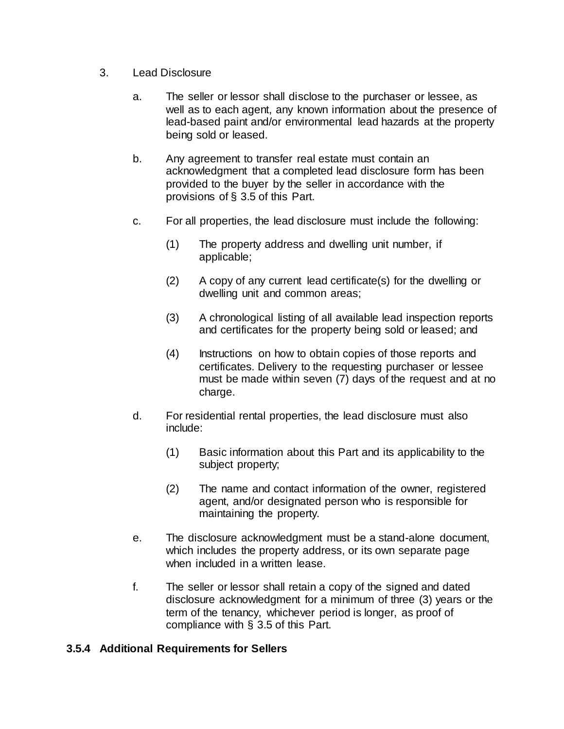- 3. Lead Disclosure
	- a. The seller or lessor shall disclose to the purchaser or lessee, as well as to each agent, any known information about the presence of lead-based paint and/or environmental lead hazards at the property being sold or leased.
	- b. Any agreement to transfer real estate must contain an acknowledgment that a completed lead disclosure form has been provided to the buyer by the seller in accordance with the provisions of § 3.5 of this Part.
	- c. For all properties, the lead disclosure must include the following:
		- (1) The property address and dwelling unit number, if applicable;
		- (2) A copy of any current lead certificate(s) for the dwelling or dwelling unit and common areas;
		- (3) A chronological listing of all available lead inspection reports and certificates for the property being sold or leased; and
		- (4) Instructions on how to obtain copies of those reports and certificates. Delivery to the requesting purchaser or lessee must be made within seven (7) days of the request and at no charge.
	- d. For residential rental properties, the lead disclosure must also include:
		- (1) Basic information about this Part and its applicability to the subject property;
		- (2) The name and contact information of the owner, registered agent, and/or designated person who is responsible for maintaining the property.
	- e. The disclosure acknowledgment must be a stand-alone document, which includes the property address, or its own separate page when included in a written lease.
	- f. The seller or lessor shall retain a copy of the signed and dated disclosure acknowledgment for a minimum of three (3) years or the term of the tenancy, whichever period is longer, as proof of compliance with § 3.5 of this Part.

### **3.5.4 Additional Requirements for Sellers**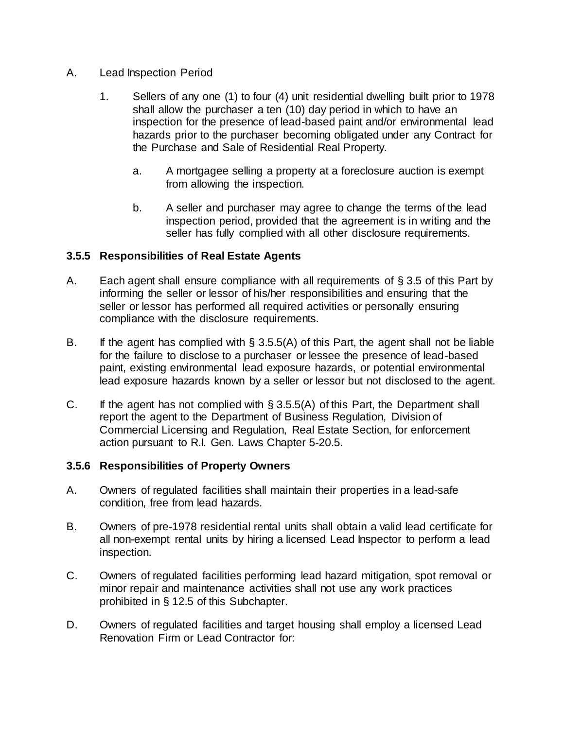#### A. Lead Inspection Period

- 1. Sellers of any one (1) to four (4) unit residential dwelling built prior to 1978 shall allow the purchaser a ten (10) day period in which to have an inspection for the presence of lead-based paint and/or environmental lead hazards prior to the purchaser becoming obligated under any Contract for the Purchase and Sale of Residential Real Property.
	- a. A mortgagee selling a property at a foreclosure auction is exempt from allowing the inspection.
	- b. A seller and purchaser may agree to change the terms of the lead inspection period, provided that the agreement is in writing and the seller has fully complied with all other disclosure requirements.

### **3.5.5 Responsibilities of Real Estate Agents**

- A. Each agent shall ensure compliance with all requirements of § 3.5 of this Part by informing the seller or lessor of his/her responsibilities and ensuring that the seller or lessor has performed all required activities or personally ensuring compliance with the disclosure requirements.
- B. If the agent has complied with  $\S$  3.5.5(A) of this Part, the agent shall not be liable for the failure to disclose to a purchaser or lessee the presence of lead-based paint, existing environmental lead exposure hazards, or potential environmental lead exposure hazards known by a seller or lessor but not disclosed to the agent.
- C. If the agent has not complied with  $\S 3.5.5(A)$  of this Part, the Department shall report the agent to the Department of Business Regulation, Division of Commercial Licensing and Regulation, Real Estate Section, for enforcement action pursuant to R.I. Gen. Laws Chapter 5-20.5.

### **3.5.6 Responsibilities of Property Owners**

- A. Owners of regulated facilities shall maintain their properties in a lead-safe condition, free from lead hazards.
- B. Owners of pre-1978 residential rental units shall obtain a valid lead certificate for all non-exempt rental units by hiring a licensed Lead Inspector to perform a lead inspection.
- C. Owners of regulated facilities performing lead hazard mitigation, spot removal or minor repair and maintenance activities shall not use any work practices prohibited in § 12.5 of this Subchapter.
- D. Owners of regulated facilities and target housing shall employ a licensed Lead Renovation Firm or Lead Contractor for: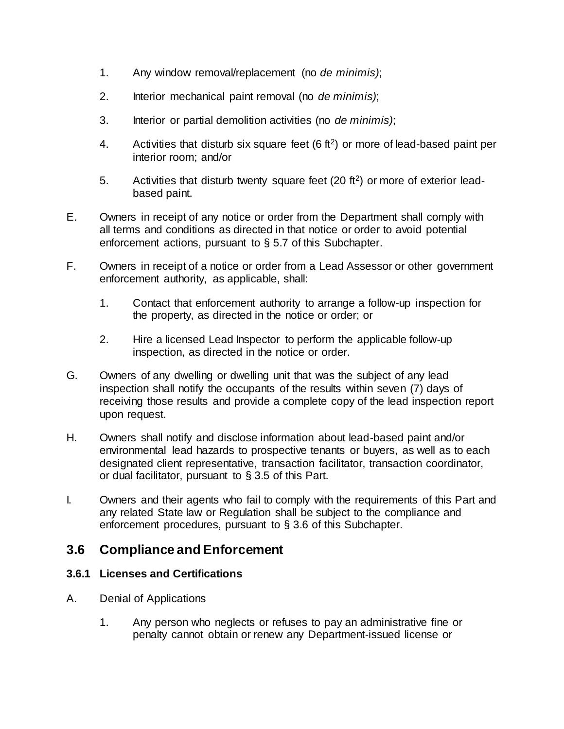- 1. Any window removal/replacement (no *de minimis)*;
- 2. Interior mechanical paint removal (no *de minimis)*;
- 3. Interior or partial demolition activities (no *de minimis)*;
- 4. Activities that disturb six square feet  $(6 ft<sup>2</sup>)$  or more of lead-based paint per interior room; and/or
- 5. Activities that disturb twenty square feet  $(20 \text{ ft}^2)$  or more of exterior leadbased paint.
- E. Owners in receipt of any notice or order from the Department shall comply with all terms and conditions as directed in that notice or order to avoid potential enforcement actions, pursuant to § 5.7 of this Subchapter.
- F. Owners in receipt of a notice or order from a Lead Assessor or other government enforcement authority, as applicable, shall:
	- 1. Contact that enforcement authority to arrange a follow-up inspection for the property, as directed in the notice or order; or
	- 2. Hire a licensed Lead Inspector to perform the applicable follow-up inspection, as directed in the notice or order.
- G. Owners of any dwelling or dwelling unit that was the subject of any lead inspection shall notify the occupants of the results within seven (7) days of receiving those results and provide a complete copy of the lead inspection report upon request.
- H. Owners shall notify and disclose information about lead-based paint and/or environmental lead hazards to prospective tenants or buyers, as well as to each designated client representative, transaction facilitator, transaction coordinator, or dual facilitator, pursuant to § 3.5 of this Part.
- I. Owners and their agents who fail to comply with the requirements of this Part and any related State law or Regulation shall be subject to the compliance and enforcement procedures, pursuant to § 3.6 of this Subchapter.

## **3.6 Compliance and Enforcement**

### **3.6.1 Licenses and Certifications**

- A. Denial of Applications
	- 1. Any person who neglects or refuses to pay an administrative fine or penalty cannot obtain or renew any Department-issued license or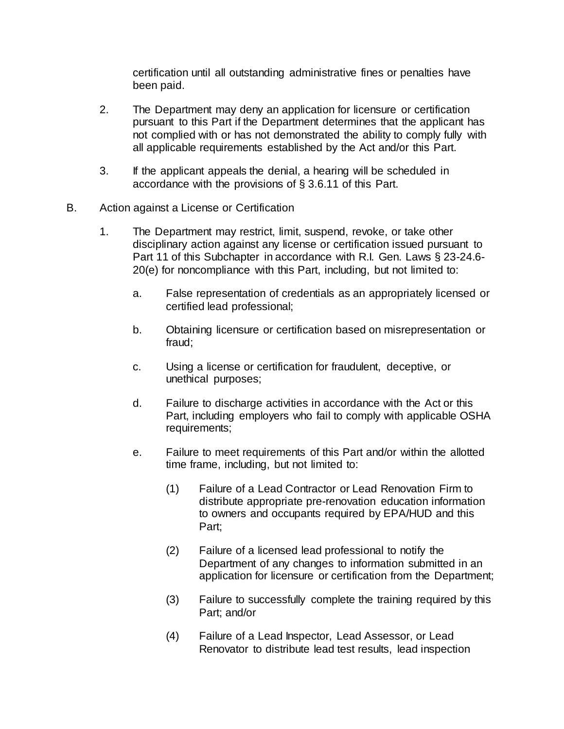certification until all outstanding administrative fines or penalties have been paid.

- 2. The Department may deny an application for licensure or certification pursuant to this Part if the Department determines that the applicant has not complied with or has not demonstrated the ability to comply fully with all applicable requirements established by the Act and/or this Part.
- 3. If the applicant appeals the denial, a hearing will be scheduled in accordance with the provisions of § 3.6.11 of this Part.
- B. Action against a License or Certification
	- 1. The Department may restrict, limit, suspend, revoke, or take other disciplinary action against any license or certification issued pursuant to Part 11 of this Subchapter in accordance with R.I. Gen. Laws § 23-24.6- 20(e) for noncompliance with this Part, including, but not limited to:
		- a. False representation of credentials as an appropriately licensed or certified lead professional;
		- b. Obtaining licensure or certification based on misrepresentation or fraud;
		- c. Using a license or certification for fraudulent, deceptive, or unethical purposes;
		- d. Failure to discharge activities in accordance with the Act or this Part, including employers who fail to comply with applicable OSHA requirements;
		- e. Failure to meet requirements of this Part and/or within the allotted time frame, including, but not limited to:
			- (1) Failure of a Lead Contractor or Lead Renovation Firm to distribute appropriate pre-renovation education information to owners and occupants required by EPA/HUD and this Part;
			- (2) Failure of a licensed lead professional to notify the Department of any changes to information submitted in an application for licensure or certification from the Department;
			- (3) Failure to successfully complete the training required by this Part; and/or
			- (4) Failure of a Lead Inspector, Lead Assessor, or Lead Renovator to distribute lead test results, lead inspection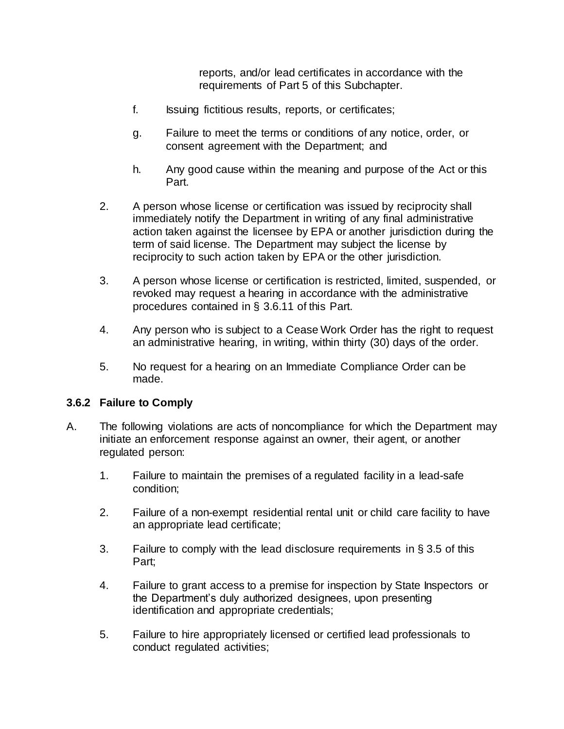reports, and/or lead certificates in accordance with the requirements of Part 5 of this Subchapter.

- f. Issuing fictitious results, reports, or certificates;
- g. Failure to meet the terms or conditions of any notice, order, or consent agreement with the Department; and
- h. Any good cause within the meaning and purpose of the Act or this Part.
- 2. A person whose license or certification was issued by reciprocity shall immediately notify the Department in writing of any final administrative action taken against the licensee by EPA or another jurisdiction during the term of said license. The Department may subject the license by reciprocity to such action taken by EPA or the other jurisdiction.
- 3. A person whose license or certification is restricted, limited, suspended, or revoked may request a hearing in accordance with the administrative procedures contained in § 3.6.11 of this Part.
- 4. Any person who is subject to a Cease Work Order has the right to request an administrative hearing, in writing, within thirty (30) days of the order.
- 5. No request for a hearing on an Immediate Compliance Order can be made.

#### **3.6.2 Failure to Comply**

- A. The following violations are acts of noncompliance for which the Department may initiate an enforcement response against an owner, their agent, or another regulated person:
	- 1. Failure to maintain the premises of a regulated facility in a lead-safe condition;
	- 2. Failure of a non-exempt residential rental unit or child care facility to have an appropriate lead certificate;
	- 3. Failure to comply with the lead disclosure requirements in § 3.5 of this Part;
	- 4. Failure to grant access to a premise for inspection by State Inspectors or the Department's duly authorized designees, upon presenting identification and appropriate credentials;
	- 5. Failure to hire appropriately licensed or certified lead professionals to conduct regulated activities;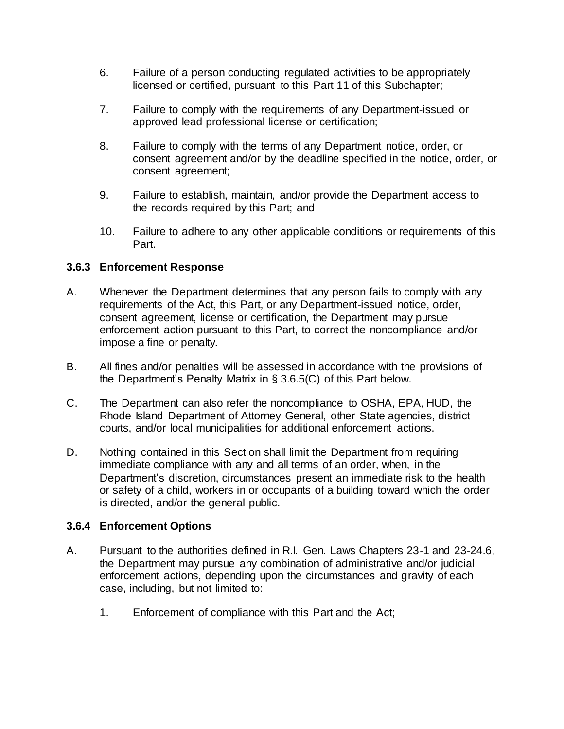- 6. Failure of a person conducting regulated activities to be appropriately licensed or certified, pursuant to this Part 11 of this Subchapter;
- 7. Failure to comply with the requirements of any Department-issued or approved lead professional license or certification;
- 8. Failure to comply with the terms of any Department notice, order, or consent agreement and/or by the deadline specified in the notice, order, or consent agreement;
- 9. Failure to establish, maintain, and/or provide the Department access to the records required by this Part; and
- 10. Failure to adhere to any other applicable conditions or requirements of this Part.

#### **3.6.3 Enforcement Response**

- A. Whenever the Department determines that any person fails to comply with any requirements of the Act, this Part, or any Department-issued notice, order, consent agreement, license or certification, the Department may pursue enforcement action pursuant to this Part, to correct the noncompliance and/or impose a fine or penalty.
- B. All fines and/or penalties will be assessed in accordance with the provisions of the Department's Penalty Matrix in § 3.6.5(C) of this Part below.
- C. The Department can also refer the noncompliance to OSHA, EPA, HUD, the Rhode Island Department of Attorney General, other State agencies, district courts, and/or local municipalities for additional enforcement actions.
- D. Nothing contained in this Section shall limit the Department from requiring immediate compliance with any and all terms of an order, when, in the Department's discretion, circumstances present an immediate risk to the health or safety of a child, workers in or occupants of a building toward which the order is directed, and/or the general public.

#### **3.6.4 Enforcement Options**

- A. Pursuant to the authorities defined in R.I. Gen. Laws Chapters 23-1 and 23-24.6, the Department may pursue any combination of administrative and/or judicial enforcement actions, depending upon the circumstances and gravity of each case, including, but not limited to:
	- 1. Enforcement of compliance with this Part and the Act;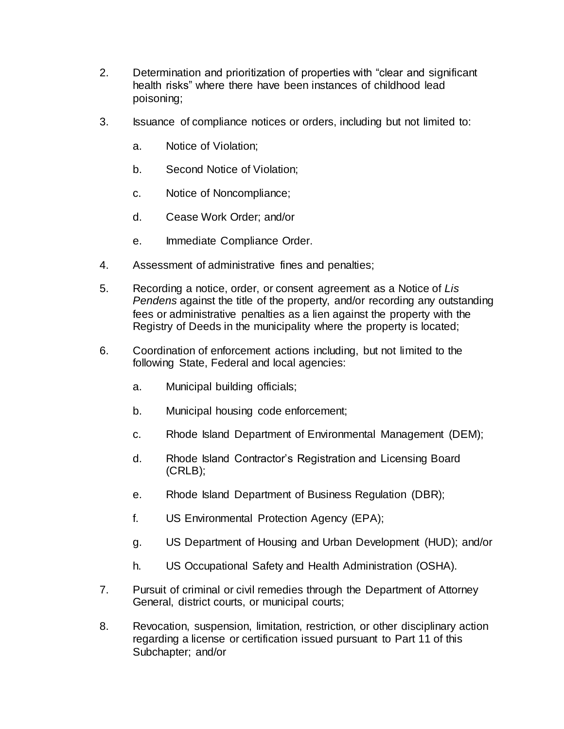- 2. Determination and prioritization of properties with "clear and significant health risks" where there have been instances of childhood lead poisoning;
- 3. Issuance of compliance notices or orders, including but not limited to:
	- a. Notice of Violation;
	- b. Second Notice of Violation;
	- c. Notice of Noncompliance;
	- d. Cease Work Order; and/or
	- e. Immediate Compliance Order.
- 4. Assessment of administrative fines and penalties;
- 5. Recording a notice, order, or consent agreement as a Notice of *Lis Pendens* against the title of the property, and/or recording any outstanding fees or administrative penalties as a lien against the property with the Registry of Deeds in the municipality where the property is located;
- 6. Coordination of enforcement actions including, but not limited to the following State, Federal and local agencies:
	- a. Municipal building officials;
	- b. Municipal housing code enforcement;
	- c. Rhode Island Department of Environmental Management (DEM);
	- d. Rhode Island Contractor's Registration and Licensing Board (CRLB);
	- e. Rhode Island Department of Business Regulation (DBR);
	- f. US Environmental Protection Agency (EPA);
	- g. US Department of Housing and Urban Development (HUD); and/or
	- h. US Occupational Safety and Health Administration (OSHA).
- 7. Pursuit of criminal or civil remedies through the Department of Attorney General, district courts, or municipal courts;
- 8. Revocation, suspension, limitation, restriction, or other disciplinary action regarding a license or certification issued pursuant to Part 11 of this Subchapter; and/or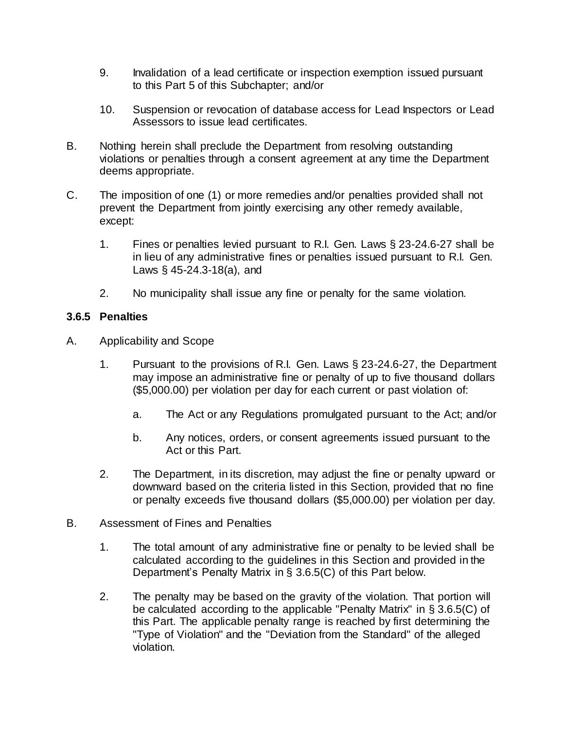- 9. Invalidation of a lead certificate or inspection exemption issued pursuant to this Part 5 of this Subchapter; and/or
- 10. Suspension or revocation of database access for Lead Inspectors or Lead Assessors to issue lead certificates.
- B. Nothing herein shall preclude the Department from resolving outstanding violations or penalties through a consent agreement at any time the Department deems appropriate.
- C. The imposition of one (1) or more remedies and/or penalties provided shall not prevent the Department from jointly exercising any other remedy available, except:
	- 1. Fines or penalties levied pursuant to R.I. Gen. Laws § 23-24.6-27 shall be in lieu of any administrative fines or penalties issued pursuant to R.I. Gen. Laws § 45-24.3-18(a), and
	- 2. No municipality shall issue any fine or penalty for the same violation.

#### **3.6.5 Penalties**

- A. Applicability and Scope
	- 1. Pursuant to the provisions of R.I. Gen. Laws § 23-24.6-27, the Department may impose an administrative fine or penalty of up to five thousand dollars (\$5,000.00) per violation per day for each current or past violation of:
		- a. The Act or any Regulations promulgated pursuant to the Act; and/or
		- b. Any notices, orders, or consent agreements issued pursuant to the Act or this Part.
	- 2. The Department, in its discretion, may adjust the fine or penalty upward or downward based on the criteria listed in this Section, provided that no fine or penalty exceeds five thousand dollars (\$5,000.00) per violation per day.
- B. Assessment of Fines and Penalties
	- 1. The total amount of any administrative fine or penalty to be levied shall be calculated according to the guidelines in this Section and provided in the Department's Penalty Matrix in § 3.6.5(C) of this Part below.
	- 2. The penalty may be based on the gravity of the violation. That portion will be calculated according to the applicable "Penalty Matrix" in § 3.6.5(C) of this Part. The applicable penalty range is reached by first determining the "Type of Violation" and the "Deviation from the Standard" of the alleged violation.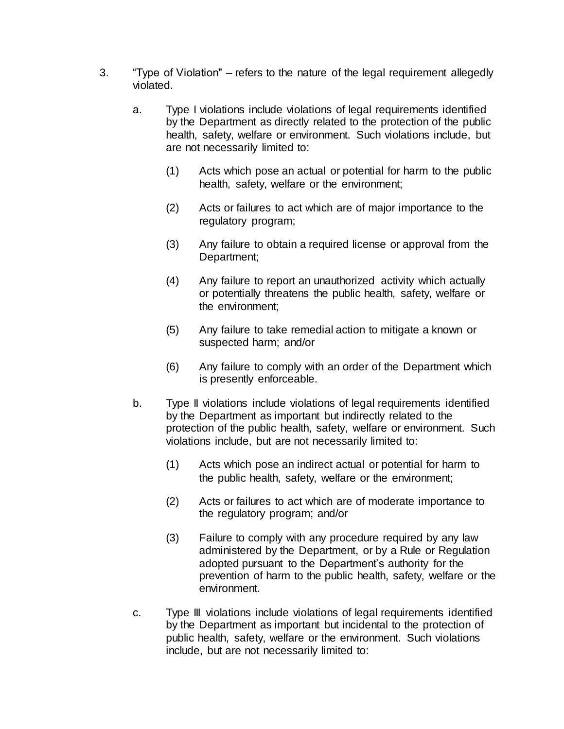- 3. "Type of Violation" refers to the nature of the legal requirement allegedly violated.
	- a. Type I violations include violations of legal requirements identified by the Department as directly related to the protection of the public health, safety, welfare or environment. Such violations include, but are not necessarily limited to:
		- (1) Acts which pose an actual or potential for harm to the public health, safety, welfare or the environment;
		- (2) Acts or failures to act which are of major importance to the regulatory program;
		- (3) Any failure to obtain a required license or approval from the Department;
		- (4) Any failure to report an unauthorized activity which actually or potentially threatens the public health, safety, welfare or the environment;
		- (5) Any failure to take remedial action to mitigate a known or suspected harm; and/or
		- (6) Any failure to comply with an order of the Department which is presently enforceable.
	- b. Type II violations include violations of legal requirements identified by the Department as important but indirectly related to the protection of the public health, safety, welfare or environment. Such violations include, but are not necessarily limited to:
		- (1) Acts which pose an indirect actual or potential for harm to the public health, safety, welfare or the environment;
		- (2) Acts or failures to act which are of moderate importance to the regulatory program; and/or
		- (3) Failure to comply with any procedure required by any law administered by the Department, or by a Rule or Regulation adopted pursuant to the Department's authority for the prevention of harm to the public health, safety, welfare or the environment.
	- c. Type III violations include violations of legal requirements identified by the Department as important but incidental to the protection of public health, safety, welfare or the environment. Such violations include, but are not necessarily limited to: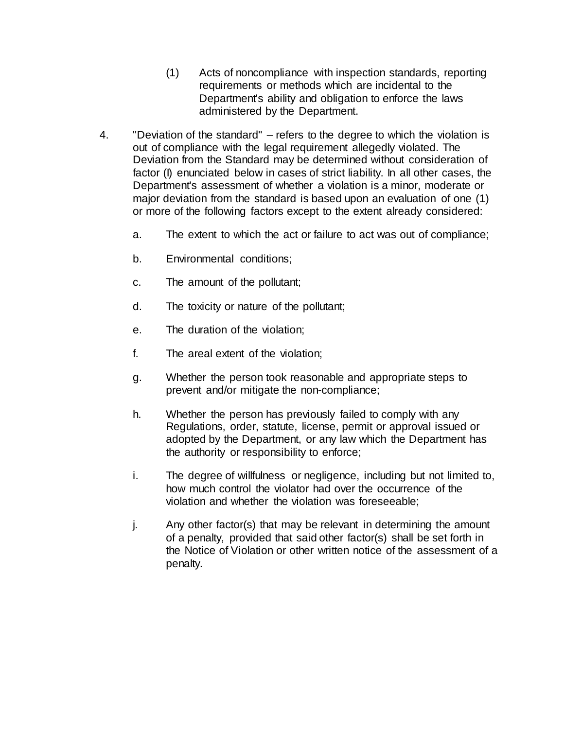- (1) Acts of noncompliance with inspection standards, reporting requirements or methods which are incidental to the Department's ability and obligation to enforce the laws administered by the Department.
- 4. "Deviation of the standard" refers to the degree to which the violation is out of compliance with the legal requirement allegedly violated. The Deviation from the Standard may be determined without consideration of factor (I) enunciated below in cases of strict liability. In all other cases, the Department's assessment of whether a violation is a minor, moderate or major deviation from the standard is based upon an evaluation of one (1) or more of the following factors except to the extent already considered:
	- a. The extent to which the act or failure to act was out of compliance;
	- b. Environmental conditions;
	- c. The amount of the pollutant;
	- d. The toxicity or nature of the pollutant;
	- e. The duration of the violation;
	- f. The areal extent of the violation;
	- g. Whether the person took reasonable and appropriate steps to prevent and/or mitigate the non-compliance;
	- h. Whether the person has previously failed to comply with any Regulations, order, statute, license, permit or approval issued or adopted by the Department, or any law which the Department has the authority or responsibility to enforce;
	- i. The degree of willfulness or negligence, including but not limited to, how much control the violator had over the occurrence of the violation and whether the violation was foreseeable;
	- j. Any other factor(s) that may be relevant in determining the amount of a penalty, provided that said other factor(s) shall be set forth in the Notice of Violation or other written notice of the assessment of a penalty.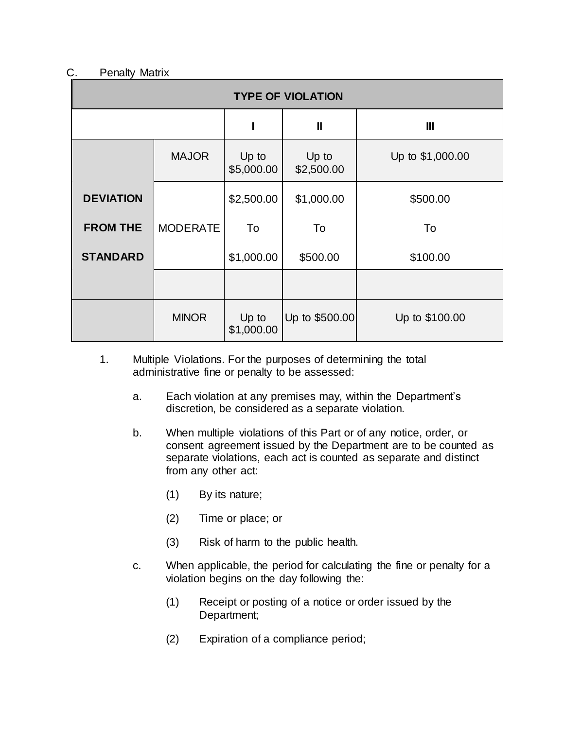### C. Penalty Matrix

| <b>TYPE OF VIOLATION</b> |                 |                     |                     |                  |
|--------------------------|-----------------|---------------------|---------------------|------------------|
|                          |                 |                     | $\mathbf{I}$        | $\mathbf{III}$   |
|                          | <b>MAJOR</b>    | Up to<br>\$5,000.00 | Up to<br>\$2,500.00 | Up to \$1,000.00 |
| <b>DEVIATION</b>         |                 | \$2,500.00          | \$1,000.00          | \$500.00         |
| <b>FROM THE</b>          | <b>MODERATE</b> | To                  | To                  | To               |
| <b>STANDARD</b>          |                 | \$1,000.00          | \$500.00            | \$100.00         |
|                          |                 |                     |                     |                  |
|                          | <b>MINOR</b>    | Up to<br>\$1,000.00 | Up to \$500.00      | Up to \$100.00   |

- 1. Multiple Violations. For the purposes of determining the total administrative fine or penalty to be assessed:
	- a. Each violation at any premises may, within the Department's discretion, be considered as a separate violation.
	- b. When multiple violations of this Part or of any notice, order, or consent agreement issued by the Department are to be counted as separate violations, each act is counted as separate and distinct from any other act:
		- (1) By its nature;
		- (2) Time or place; or
		- (3) Risk of harm to the public health.
	- c. When applicable, the period for calculating the fine or penalty for a violation begins on the day following the:
		- (1) Receipt or posting of a notice or order issued by the Department;
		- (2) Expiration of a compliance period;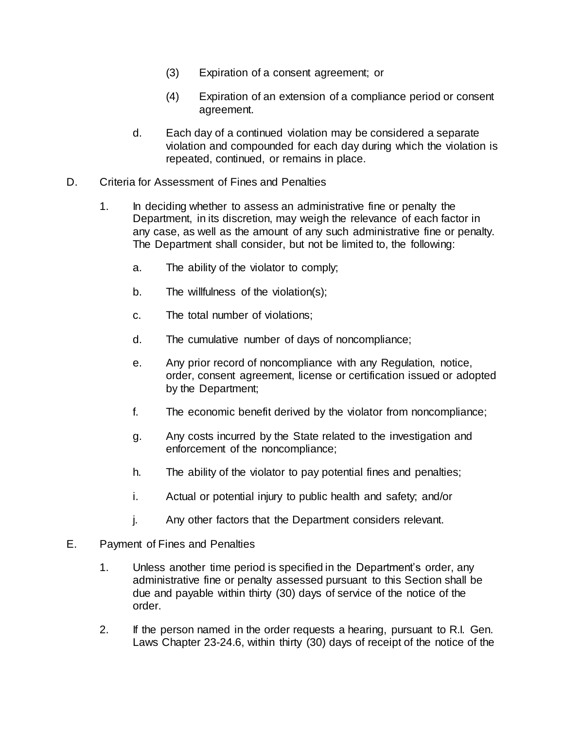- (3) Expiration of a consent agreement; or
- (4) Expiration of an extension of a compliance period or consent agreement.
- d. Each day of a continued violation may be considered a separate violation and compounded for each day during which the violation is repeated, continued, or remains in place.
- D. Criteria for Assessment of Fines and Penalties
	- 1. In deciding whether to assess an administrative fine or penalty the Department, in its discretion, may weigh the relevance of each factor in any case, as well as the amount of any such administrative fine or penalty. The Department shall consider, but not be limited to, the following:
		- a. The ability of the violator to comply;
		- b. The willfulness of the violation(s);
		- c. The total number of violations;
		- d. The cumulative number of days of noncompliance;
		- e. Any prior record of noncompliance with any Regulation, notice, order, consent agreement, license or certification issued or adopted by the Department;
		- f. The economic benefit derived by the violator from noncompliance;
		- g. Any costs incurred by the State related to the investigation and enforcement of the noncompliance;
		- h. The ability of the violator to pay potential fines and penalties;
		- i. Actual or potential injury to public health and safety; and/or
		- j. Any other factors that the Department considers relevant.
- E. Payment of Fines and Penalties
	- 1. Unless another time period is specified in the Department's order, any administrative fine or penalty assessed pursuant to this Section shall be due and payable within thirty (30) days of service of the notice of the order.
	- 2. If the person named in the order requests a hearing, pursuant to R.I. Gen. Laws Chapter 23-24.6, within thirty (30) days of receipt of the notice of the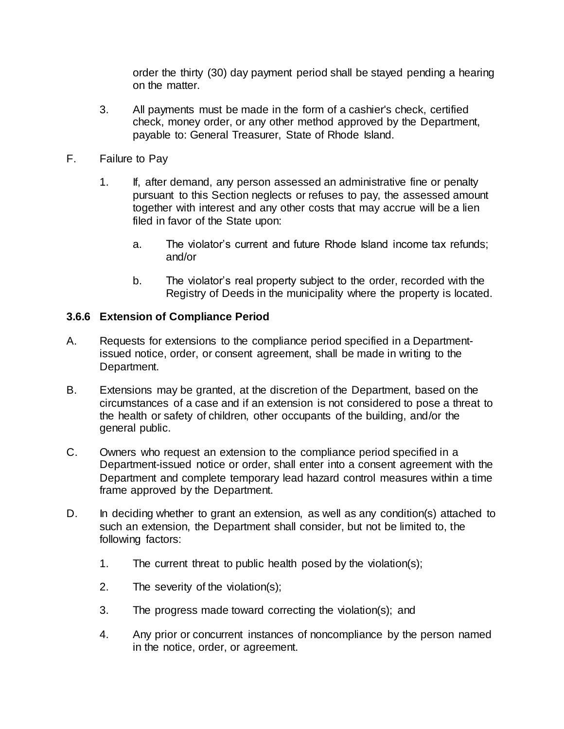order the thirty (30) day payment period shall be stayed pending a hearing on the matter.

- 3. All payments must be made in the form of a cashier's check, certified check, money order, or any other method approved by the Department, payable to: General Treasurer, State of Rhode Island.
- F. Failure to Pay
	- 1. If, after demand, any person assessed an administrative fine or penalty pursuant to this Section neglects or refuses to pay, the assessed amount together with interest and any other costs that may accrue will be a lien filed in favor of the State upon:
		- a. The violator's current and future Rhode Island income tax refunds; and/or
		- b. The violator's real property subject to the order, recorded with the Registry of Deeds in the municipality where the property is located.

### **3.6.6 Extension of Compliance Period**

- A. Requests for extensions to the compliance period specified in a Departmentissued notice, order, or consent agreement, shall be made in writing to the Department.
- B. Extensions may be granted, at the discretion of the Department, based on the circumstances of a case and if an extension is not considered to pose a threat to the health or safety of children, other occupants of the building, and/or the general public.
- C. Owners who request an extension to the compliance period specified in a Department-issued notice or order, shall enter into a consent agreement with the Department and complete temporary lead hazard control measures within a time frame approved by the Department.
- D. In deciding whether to grant an extension, as well as any condition(s) attached to such an extension, the Department shall consider, but not be limited to, the following factors:
	- 1. The current threat to public health posed by the violation(s);
	- 2. The severity of the violation(s);
	- 3. The progress made toward correcting the violation(s); and
	- 4. Any prior or concurrent instances of noncompliance by the person named in the notice, order, or agreement.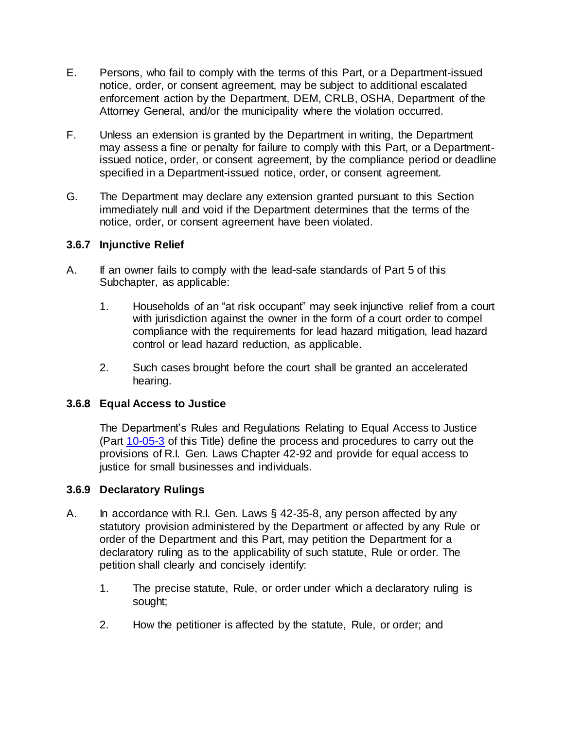- E. Persons, who fail to comply with the terms of this Part, or a Department-issued notice, order, or consent agreement, may be subject to additional escalated enforcement action by the Department, DEM, CRLB, OSHA, Department of the Attorney General, and/or the municipality where the violation occurred.
- F. Unless an extension is granted by the Department in writing, the Department may assess a fine or penalty for failure to comply with this Part, or a Departmentissued notice, order, or consent agreement, by the compliance period or deadline specified in a Department-issued notice, order, or consent agreement.
- G. The Department may declare any extension granted pursuant to this Section immediately null and void if the Department determines that the terms of the notice, order, or consent agreement have been violated.

#### **3.6.7 Injunctive Relief**

- A. If an owner fails to comply with the lead-safe standards of Part 5 of this Subchapter, as applicable:
	- 1. Households of an "at risk occupant" may seek injunctive relief from a court with jurisdiction against the owner in the form of a court order to compel compliance with the requirements for lead hazard mitigation, lead hazard control or lead hazard reduction, as applicable.
	- 2. Such cases brought before the court shall be granted an accelerated hearing.

#### **3.6.8 Equal Access to Justice**

The Department's Rules and Regulations Relating to Equal Access to Justice (Part [10-05-3](https://rules.sos.ri.gov/regulations/part/216-10-05-3) of this Title) define the process and procedures to carry out the provisions of R.I. Gen. Laws Chapter 42-92 and provide for equal access to justice for small businesses and individuals.

#### **3.6.9 Declaratory Rulings**

- A. In accordance with R.I. Gen. Laws § 42-35-8, any person affected by any statutory provision administered by the Department or affected by any Rule or order of the Department and this Part, may petition the Department for a declaratory ruling as to the applicability of such statute, Rule or order. The petition shall clearly and concisely identify:
	- 1. The precise statute, Rule, or order under which a declaratory ruling is sought;
	- 2. How the petitioner is affected by the statute, Rule, or order; and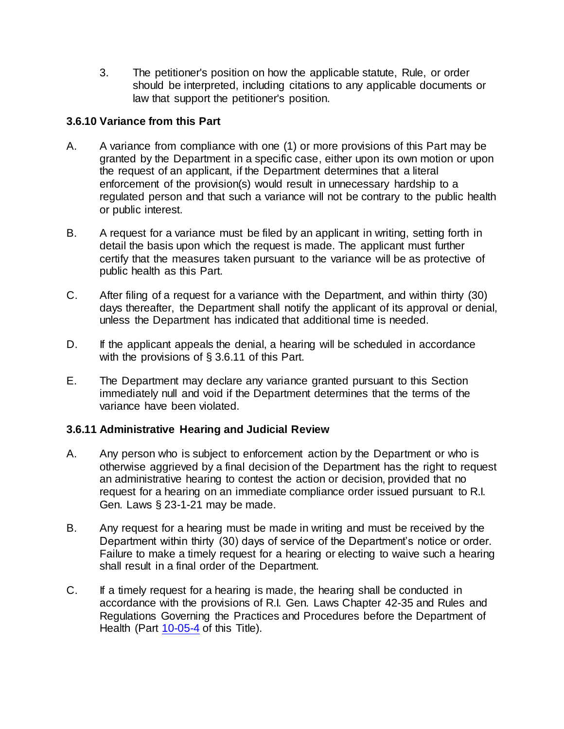3. The petitioner's position on how the applicable statute, Rule, or order should be interpreted, including citations to any applicable documents or law that support the petitioner's position.

#### **3.6.10 Variance from this Part**

- A. A variance from compliance with one (1) or more provisions of this Part may be granted by the Department in a specific case, either upon its own motion or upon the request of an applicant, if the Department determines that a literal enforcement of the provision(s) would result in unnecessary hardship to a regulated person and that such a variance will not be contrary to the public health or public interest.
- B. A request for a variance must be filed by an applicant in writing, setting forth in detail the basis upon which the request is made. The applicant must further certify that the measures taken pursuant to the variance will be as protective of public health as this Part.
- C. After filing of a request for a variance with the Department, and within thirty (30) days thereafter, the Department shall notify the applicant of its approval or denial, unless the Department has indicated that additional time is needed.
- D. If the applicant appeals the denial, a hearing will be scheduled in accordance with the provisions of § 3.6.11 of this Part.
- E. The Department may declare any variance granted pursuant to this Section immediately null and void if the Department determines that the terms of the variance have been violated.

### **3.6.11 Administrative Hearing and Judicial Review**

- A. Any person who is subject to enforcement action by the Department or who is otherwise aggrieved by a final decision of the Department has the right to request an administrative hearing to contest the action or decision, provided that no request for a hearing on an immediate compliance order issued pursuant to R.I. Gen. Laws § 23-1-21 may be made.
- B. Any request for a hearing must be made in writing and must be received by the Department within thirty (30) days of service of the Department's notice or order. Failure to make a timely request for a hearing or electing to waive such a hearing shall result in a final order of the Department.
- C. If a timely request for a hearing is made, the hearing shall be conducted in accordance with the provisions of R.I. Gen. Laws Chapter 42-35 and Rules and Regulations Governing the Practices and Procedures before the Department of Health (Part [10-05-4](https://rules.sos.ri.gov/regulations/part/216-10-05-4) of this Title).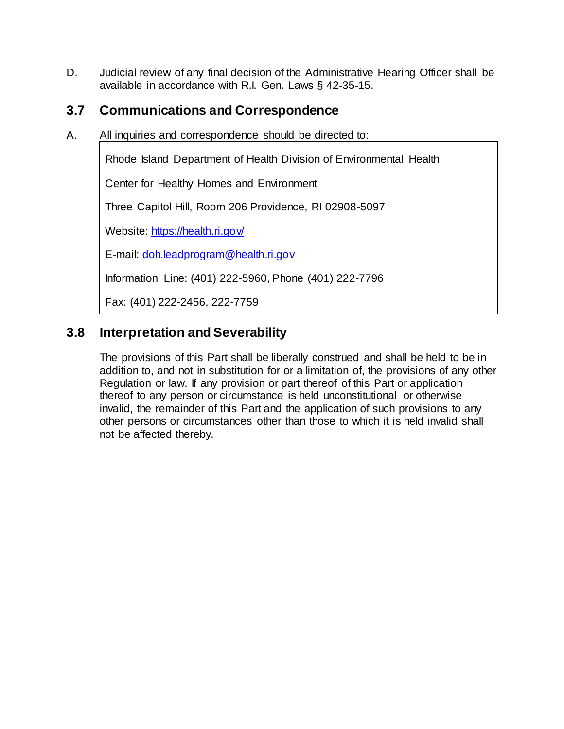D. Judicial review of any final decision of the Administrative Hearing Officer shall be available in accordance with R.I. Gen. Laws § 42-35-15.

# **3.7 Communications and Correspondence**

A. All inquiries and correspondence should be directed to:

Rhode Island Department of Health Division of Environmental Health

Center for Healthy Homes and Environment

Three Capitol Hill, Room 206 Providence, RI 02908-5097

Website: https://health.ri.gov/

E-mail: [doh.leadprogram@health.ri.gov](mailto:doh.leadprogram@health.ri.gov)

Information Line: (401) 222-5960, Phone (401) 222-7796

Fax: (401) 222-2456, 222-7759

# **3.8 Interpretation and Severability**

The provisions of this Part shall be liberally construed and shall be held to be in addition to, and not in substitution for or a limitation of, the provisions of any other Regulation or law. If any provision or part thereof of this Part or application thereof to any person or circumstance is held unconstitutional or otherwise invalid, the remainder of this Part and the application of such provisions to any other persons or circumstances other than those to which it is held invalid shall not be affected thereby.